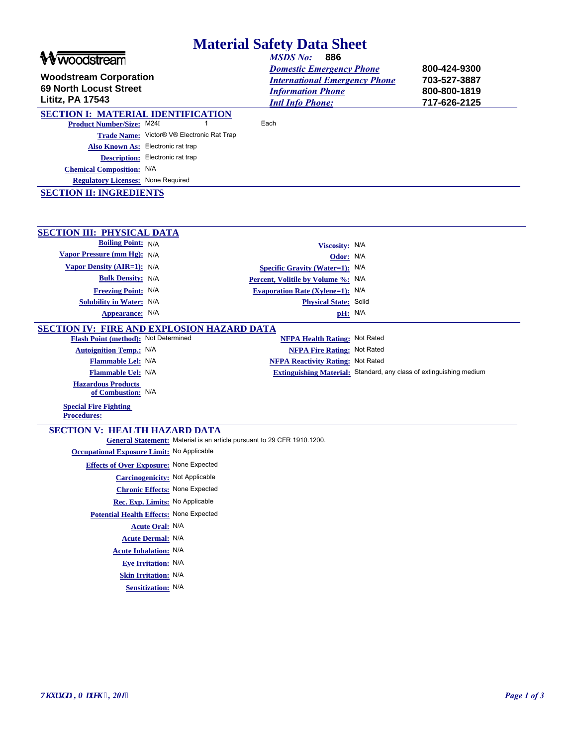| <b>Material Safety Data Sheet</b>                                                                       |                                                                         |                                                                                                                                                          |  |                                                              |  |
|---------------------------------------------------------------------------------------------------------|-------------------------------------------------------------------------|----------------------------------------------------------------------------------------------------------------------------------------------------------|--|--------------------------------------------------------------|--|
| woodstream<br><b>Woodstream Corporation</b><br><b>69 North Locust Street</b><br><b>Lititz, PA 17543</b> |                                                                         | 886<br><b>MSDS No:</b><br><b>Domestic Emergency Phone</b><br><b>International Emergency Phone</b><br><b>Information Phone</b><br><b>Intl Info Phone:</b> |  | 800-424-9300<br>703-527-3887<br>800-800-1819<br>717-626-2125 |  |
| <b>SECTION I: MATERIAL IDENTIFICATION</b>                                                               |                                                                         |                                                                                                                                                          |  |                                                              |  |
| <b>Product Number/Size: M24F</b>                                                                        |                                                                         | Each                                                                                                                                                     |  |                                                              |  |
|                                                                                                         | Trade Name: Victor® V® Electronic Rat Trap                              |                                                                                                                                                          |  |                                                              |  |
| Also Known As: Electronic rat trap                                                                      |                                                                         |                                                                                                                                                          |  |                                                              |  |
|                                                                                                         | <b>Description:</b> Electronic rat trap                                 |                                                                                                                                                          |  |                                                              |  |
| <b>Chemical Composition:</b> N/A                                                                        |                                                                         |                                                                                                                                                          |  |                                                              |  |
| <b>Regulatory Licenses: None Required</b>                                                               |                                                                         |                                                                                                                                                          |  |                                                              |  |
| <b>SECTION II: INGREDIENTS</b>                                                                          |                                                                         |                                                                                                                                                          |  |                                                              |  |
|                                                                                                         |                                                                         |                                                                                                                                                          |  |                                                              |  |
| <b>SECTION III: PHYSICAL DATA</b><br><b>Boiling Point: N/A</b>                                          |                                                                         |                                                                                                                                                          |  |                                                              |  |
| Vapor Pressure (mm Hg): N/A                                                                             |                                                                         | Viscosity: N/A                                                                                                                                           |  |                                                              |  |
| Vapor Density (AIR=1): N/A                                                                              |                                                                         | Odor: N/A<br>Specific Gravity (Water=1): N/A                                                                                                             |  |                                                              |  |
| <b>Bulk Density: N/A</b>                                                                                |                                                                         | Percent, Volitile by Volume %: N/A                                                                                                                       |  |                                                              |  |
| <b>Freezing Point: N/A</b>                                                                              |                                                                         | <b>Evaporation Rate (Xylene=1):</b> N/A                                                                                                                  |  |                                                              |  |
| Solubility in Water: N/A                                                                                |                                                                         | Physical State: Solid                                                                                                                                    |  |                                                              |  |
| Appearance: N/A                                                                                         |                                                                         | pH: N/A                                                                                                                                                  |  |                                                              |  |
| <b>SECTION IV: FIRE AND EXPLOSION HAZARD DATA</b>                                                       |                                                                         |                                                                                                                                                          |  |                                                              |  |
| Flash Point (method): Not Determined                                                                    |                                                                         | <b>NFPA Health Rating: Not Rated</b>                                                                                                                     |  |                                                              |  |
| <b>Autoignition Temp.: N/A</b>                                                                          |                                                                         | <b>NFPA Fire Rating: Not Rated</b>                                                                                                                       |  |                                                              |  |
| Flammable Lel: N/A                                                                                      |                                                                         | <b>NFPA Reactivity Rating: Not Rated</b>                                                                                                                 |  |                                                              |  |
| Flammable Uel: N/A                                                                                      |                                                                         | Extinguishing Material: Standard, any class of extinguishing medium                                                                                      |  |                                                              |  |
| <b>Hazardous Products</b><br>of Combustion: N/A                                                         |                                                                         |                                                                                                                                                          |  |                                                              |  |
| <b>Special Fire Fighting</b><br><b>Procedures:</b>                                                      |                                                                         |                                                                                                                                                          |  |                                                              |  |
| <b>SECTION V: HEALTH HAZARD DATA</b>                                                                    |                                                                         |                                                                                                                                                          |  |                                                              |  |
|                                                                                                         | General Statement: Material is an article pursuant to 29 CFR 1910.1200. |                                                                                                                                                          |  |                                                              |  |
| <b>Occupational Exposure Limit:</b> No Applicable                                                       |                                                                         |                                                                                                                                                          |  |                                                              |  |
|                                                                                                         | <b>Effects of Over Exposure: None Expected</b>                          |                                                                                                                                                          |  |                                                              |  |
|                                                                                                         | <b>Carcinogenicity:</b> Not Applicable                                  |                                                                                                                                                          |  |                                                              |  |
|                                                                                                         | <b>Chronic Effects: None Expected</b>                                   |                                                                                                                                                          |  |                                                              |  |
|                                                                                                         | Rec. Exp. Limits: No Applicable                                         |                                                                                                                                                          |  |                                                              |  |
|                                                                                                         | Potential Health Effects: None Expected                                 |                                                                                                                                                          |  |                                                              |  |
|                                                                                                         | <b>Acute Oral: N/A</b>                                                  |                                                                                                                                                          |  |                                                              |  |
|                                                                                                         | <b>Acute Dermal: N/A</b>                                                |                                                                                                                                                          |  |                                                              |  |
|                                                                                                         | <b>Acute Inhalation: N/A</b>                                            |                                                                                                                                                          |  |                                                              |  |
|                                                                                                         | <b>Eve Irritation: N/A</b>                                              |                                                                                                                                                          |  |                                                              |  |
|                                                                                                         | <b>Skin Irritation: N/A</b>                                             |                                                                                                                                                          |  |                                                              |  |
|                                                                                                         | <b>Sensitization: N/A</b>                                               |                                                                                                                                                          |  |                                                              |  |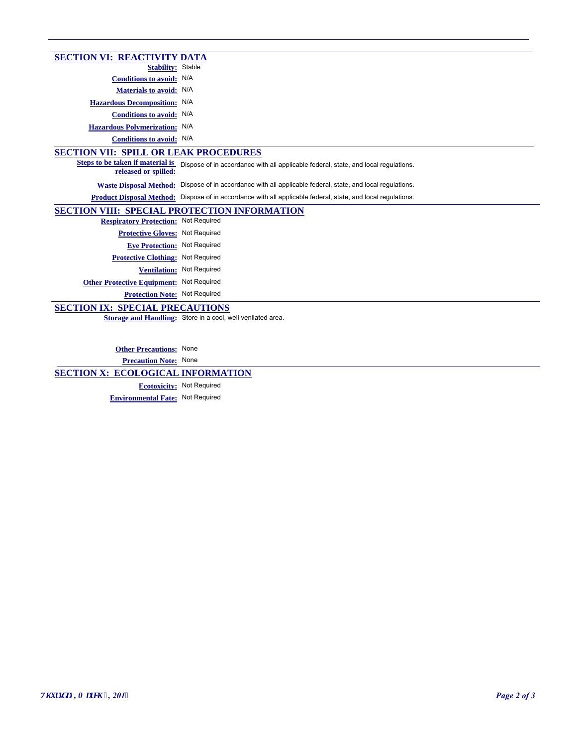| <b>SECTION VI: REACTIVITY DATA</b>                       |                                                                                                              |  |  |  |
|----------------------------------------------------------|--------------------------------------------------------------------------------------------------------------|--|--|--|
| <b>Stability:</b> Stable                                 |                                                                                                              |  |  |  |
| Conditions to avoid: N/A                                 |                                                                                                              |  |  |  |
| <b>Materials to avoid: N/A</b>                           |                                                                                                              |  |  |  |
| Hazardous Decomposition: N/A                             |                                                                                                              |  |  |  |
| Conditions to avoid: N/A                                 |                                                                                                              |  |  |  |
| Hazardous Polymerization: N/A                            |                                                                                                              |  |  |  |
| Conditions to avoid: N/A                                 |                                                                                                              |  |  |  |
| <b>SECTION VII: SPILL OR LEAK PROCEDURES</b>             |                                                                                                              |  |  |  |
| Steps to be taken if material is<br>released or spilled: | Dispose of in accordance with all applicable federal, state, and local regulations.                          |  |  |  |
|                                                          | Waste Disposal Method: Dispose of in accordance with all applicable federal, state, and local regulations.   |  |  |  |
|                                                          | Product Disposal Method: Dispose of in accordance with all applicable federal, state, and local regulations. |  |  |  |
| <b>SECTION VIII: SPECIAL PROTECTION INFORMATION</b>      |                                                                                                              |  |  |  |
| <b>Respiratory Protection: Not Required</b>              |                                                                                                              |  |  |  |
| Protective Gloves: Not Required                          |                                                                                                              |  |  |  |
| Eve Protection: Not Required                             |                                                                                                              |  |  |  |
| <b>Protective Clothing: Not Required</b>                 |                                                                                                              |  |  |  |
|                                                          | Ventilation: Not Required                                                                                    |  |  |  |
| <b>Other Protective Equipment: Not Required</b>          |                                                                                                              |  |  |  |
| <b>Protection Note: Not Required</b>                     |                                                                                                              |  |  |  |
| <b>SECTION IX: SPECIAL PRECAUTIONS</b>                   |                                                                                                              |  |  |  |
|                                                          | Storage and Handling: Store in a cool, well venilated area.                                                  |  |  |  |
|                                                          |                                                                                                              |  |  |  |
|                                                          |                                                                                                              |  |  |  |

**Other Precautions:** None

**Precaution Note:** None

**SECTION X: ECOLOGICAL INFORMATION**

**Ecotoxicity:** Not Required **Environmental Fate:** Not Required